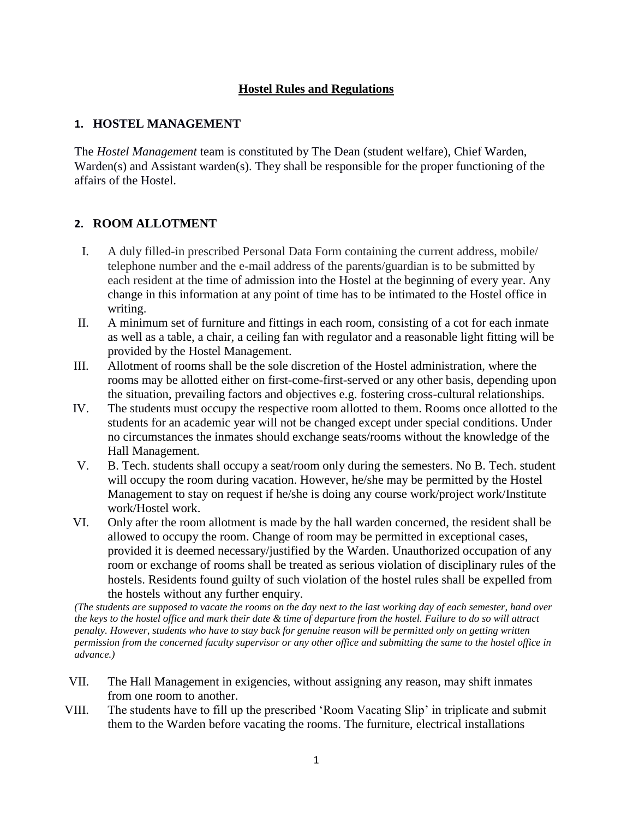# **Hostel Rules and Regulations**

## **1. HOSTEL MANAGEMENT**

The *Hostel Management* team is constituted by The Dean (student welfare), Chief Warden, Warden(s) and Assistant warden(s). They shall be responsible for the proper functioning of the affairs of the Hostel.

## **2. ROOM ALLOTMENT**

- I. A duly filled-in prescribed Personal Data Form containing the current address, mobile/ telephone number and the e-mail address of the parents/guardian is to be submitted by each resident at the time of admission into the Hostel at the beginning of every year. Any change in this information at any point of time has to be intimated to the Hostel office in writing.
- II. A minimum set of furniture and fittings in each room, consisting of a cot for each inmate as well as a table, a chair, a ceiling fan with regulator and a reasonable light fitting will be provided by the Hostel Management.
- III. Allotment of rooms shall be the sole discretion of the Hostel administration, where the rooms may be allotted either on first-come-first-served or any other basis, depending upon the situation, prevailing factors and objectives e.g. fostering cross-cultural relationships.
- IV. The students must occupy the respective room allotted to them. Rooms once allotted to the students for an academic year will not be changed except under special conditions. Under no circumstances the inmates should exchange seats/rooms without the knowledge of the Hall Management.
- V. B. Tech. students shall occupy a seat/room only during the semesters. No B. Tech. student will occupy the room during vacation. However, he/she may be permitted by the Hostel Management to stay on request if he/she is doing any course work/project work/Institute work/Hostel work.
- VI. Only after the room allotment is made by the hall warden concerned, the resident shall be allowed to occupy the room. Change of room may be permitted in exceptional cases, provided it is deemed necessary/justified by the Warden. Unauthorized occupation of any room or exchange of rooms shall be treated as serious violation of disciplinary rules of the hostels. Residents found guilty of such violation of the hostel rules shall be expelled from the hostels without any further enquiry.

*(The students are supposed to vacate the rooms on the day next to the last working day of each semester, hand over the keys to the hostel office and mark their date & time of departure from the hostel. Failure to do so will attract penalty. However, students who have to stay back for genuine reason will be permitted only on getting written permission from the concerned faculty supervisor or any other office and submitting the same to the hostel office in advance.)*

- VII. The Hall Management in exigencies, without assigning any reason, may shift inmates from one room to another.
- VIII. The students have to fill up the prescribed 'Room Vacating Slip' in triplicate and submit them to the Warden before vacating the rooms. The furniture, electrical installations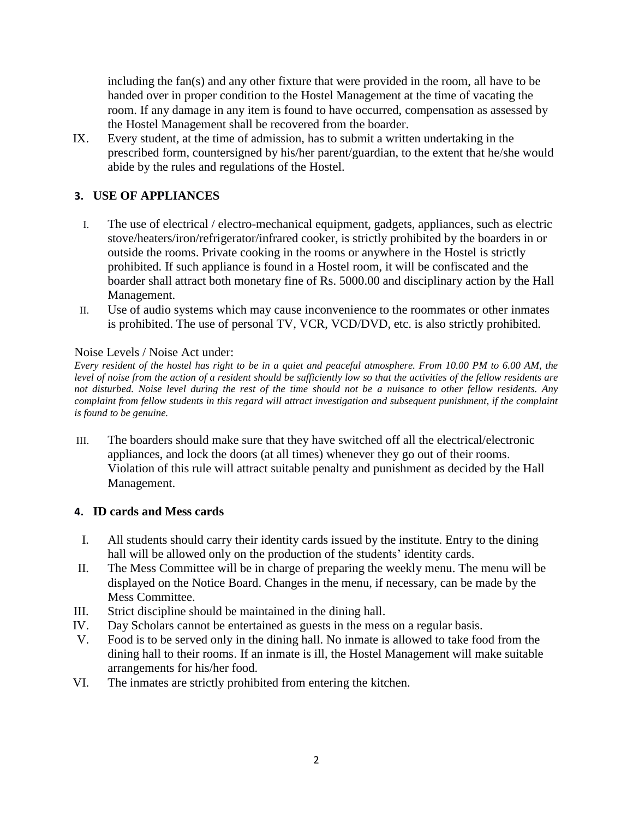including the fan(s) and any other fixture that were provided in the room, all have to be handed over in proper condition to the Hostel Management at the time of vacating the room. If any damage in any item is found to have occurred, compensation as assessed by the Hostel Management shall be recovered from the boarder.

IX. Every student, at the time of admission, has to submit a written undertaking in the prescribed form, countersigned by his/her parent/guardian, to the extent that he/she would abide by the rules and regulations of the Hostel.

# **3. USE OF APPLIANCES**

- I. The use of electrical / electro-mechanical equipment, gadgets, appliances, such as electric stove/heaters/iron/refrigerator/infrared cooker, is strictly prohibited by the boarders in or outside the rooms. Private cooking in the rooms or anywhere in the Hostel is strictly prohibited. If such appliance is found in a Hostel room, it will be confiscated and the boarder shall attract both monetary fine of Rs. 5000.00 and disciplinary action by the Hall Management.
- II. Use of audio systems which may cause inconvenience to the roommates or other inmates is prohibited. The use of personal TV, VCR, VCD/DVD, etc. is also strictly prohibited.

## Noise Levels / Noise Act under:

*Every resident of the hostel has right to be in a quiet and peaceful atmosphere. From 10.00 PM to 6.00 AM, the level of noise from the action of a resident should be sufficiently low so that the activities of the fellow residents are not disturbed. Noise level during the rest of the time should not be a nuisance to other fellow residents. Any complaint from fellow students in this regard will attract investigation and subsequent punishment, if the complaint is found to be genuine.*

III. The boarders should make sure that they have switched off all the electrical/electronic appliances, and lock the doors (at all times) whenever they go out of their rooms. Violation of this rule will attract suitable penalty and punishment as decided by the Hall Management.

## **4. ID cards and Mess cards**

- I. All students should carry their identity cards issued by the institute. Entry to the dining hall will be allowed only on the production of the students' identity cards.
- II. The Mess Committee will be in charge of preparing the weekly menu. The menu will be displayed on the Notice Board. Changes in the menu, if necessary, can be made by the Mess Committee.
- III. Strict discipline should be maintained in the dining hall.
- IV. Day Scholars cannot be entertained as guests in the mess on a regular basis.
- V. Food is to be served only in the dining hall. No inmate is allowed to take food from the dining hall to their rooms. If an inmate is ill, the Hostel Management will make suitable arrangements for his/her food.
- VI. The inmates are strictly prohibited from entering the kitchen.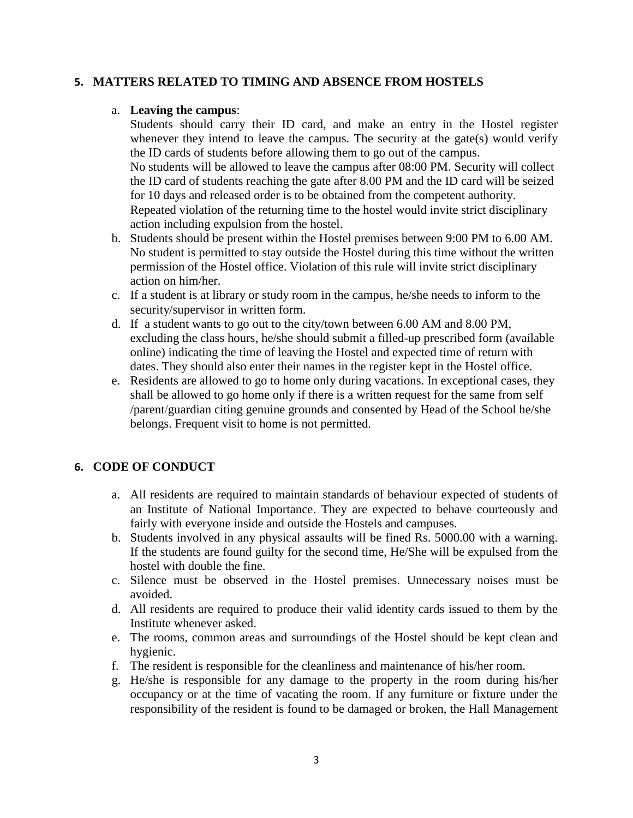## **5. MATTERS RELATED TO TIMING AND ABSENCE FROM HOSTELS**

#### a. **Leaving the campus**:

Students should carry their ID card, and make an entry in the Hostel register whenever they intend to leave the campus. The security at the gate(s) would verify the ID cards of students before allowing them to go out of the campus. No students will be allowed to leave the campus after 08:00 PM. Security will collect the ID card of students reaching the gate after 8.00 PM and the ID card will be seized for 10 days and released order is to be obtained from the competent authority. Repeated violation of the returning time to the hostel would invite strict disciplinary

- action including expulsion from the hostel. b. Students should be present within the Hostel premises between 9:00 PM to 6.00 AM. No student is permitted to stay outside the Hostel during this time without the written permission of the Hostel office. Violation of this rule will invite strict disciplinary action on him/her.
- c. If a student is at library or study room in the campus, he/she needs to inform to the security/supervisor in written form.
- d. If a student wants to go out to the city/town between 6.00 AM and 8.00 PM, excluding the class hours, he/she should submit a filled-up prescribed form (available online) indicating the time of leaving the Hostel and expected time of return with dates. They should also enter their names in the register kept in the Hostel office.
- e. Residents are allowed to go to home only during vacations. In exceptional cases, they shall be allowed to go home only if there is a written request for the same from self /parent/guardian citing genuine grounds and consented by Head of the School he/she belongs. Frequent visit to home is not permitted.

## **6. CODE OF CONDUCT**

- a. All residents are required to maintain standards of behaviour expected of students of an Institute of National Importance. They are expected to behave courteously and fairly with everyone inside and outside the Hostels and campuses.
- b. Students involved in any physical assaults will be fined Rs. 5000.00 with a warning. If the students are found guilty for the second time, He/She will be expulsed from the hostel with double the fine.
- c. Silence must be observed in the Hostel premises. Unnecessary noises must be avoided.
- d. All residents are required to produce their valid identity cards issued to them by the Institute whenever asked.
- e. The rooms, common areas and surroundings of the Hostel should be kept clean and hygienic.
- f. The resident is responsible for the cleanliness and maintenance of his/her room.
- g. He/she is responsible for any damage to the property in the room during his/her occupancy or at the time of vacating the room. If any furniture or fixture under the responsibility of the resident is found to be damaged or broken, the Hall Management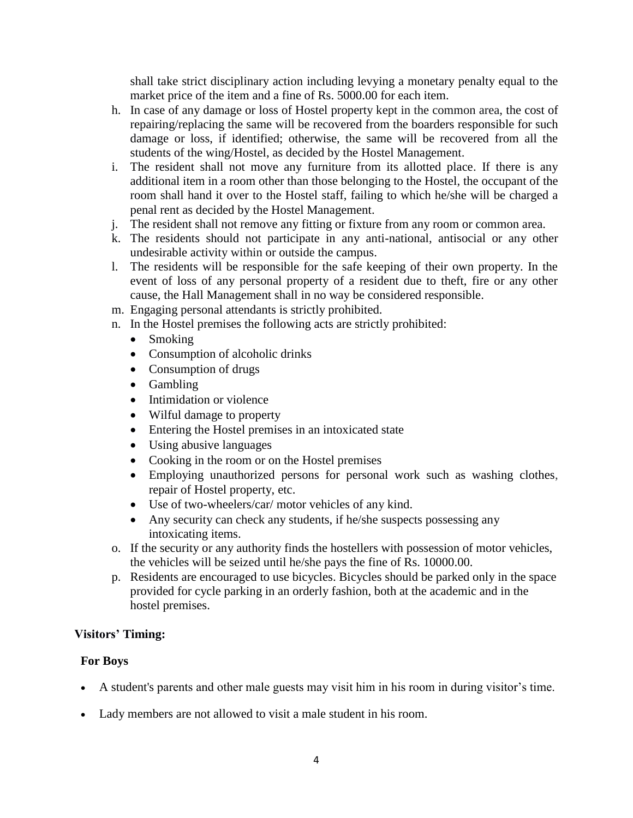shall take strict disciplinary action including levying a monetary penalty equal to the market price of the item and a fine of Rs. 5000.00 for each item.

- h. In case of any damage or loss of Hostel property kept in the common area, the cost of repairing/replacing the same will be recovered from the boarders responsible for such damage or loss, if identified; otherwise, the same will be recovered from all the students of the wing/Hostel, as decided by the Hostel Management.
- i. The resident shall not move any furniture from its allotted place. If there is any additional item in a room other than those belonging to the Hostel, the occupant of the room shall hand it over to the Hostel staff, failing to which he/she will be charged a penal rent as decided by the Hostel Management.
- j. The resident shall not remove any fitting or fixture from any room or common area.
- k. The residents should not participate in any anti-national, antisocial or any other undesirable activity within or outside the campus.
- l. The residents will be responsible for the safe keeping of their own property. In the event of loss of any personal property of a resident due to theft, fire or any other cause, the Hall Management shall in no way be considered responsible.
- m. Engaging personal attendants is strictly prohibited.
- n. In the Hostel premises the following acts are strictly prohibited:
	- Smoking
	- Consumption of alcoholic drinks
	- Consumption of drugs
	- Gambling
	- Intimidation or violence
	- Wilful damage to property
	- Entering the Hostel premises in an intoxicated state
	- Using abusive languages
	- Cooking in the room or on the Hostel premises
	- Employing unauthorized persons for personal work such as washing clothes, repair of Hostel property, etc.
	- Use of two-wheelers/car/ motor vehicles of any kind.
	- Any security can check any students, if he/she suspects possessing any intoxicating items.
- o. If the security or any authority finds the hostellers with possession of motor vehicles, the vehicles will be seized until he/she pays the fine of Rs. 10000.00.
- p. Residents are encouraged to use bicycles. Bicycles should be parked only in the space provided for cycle parking in an orderly fashion, both at the academic and in the hostel premises.

## **Visitors' Timing:**

## **For Boys**

- A student's parents and other male guests may visit him in his room in during visitor's time.
- Lady members are not allowed to visit a male student in his room.